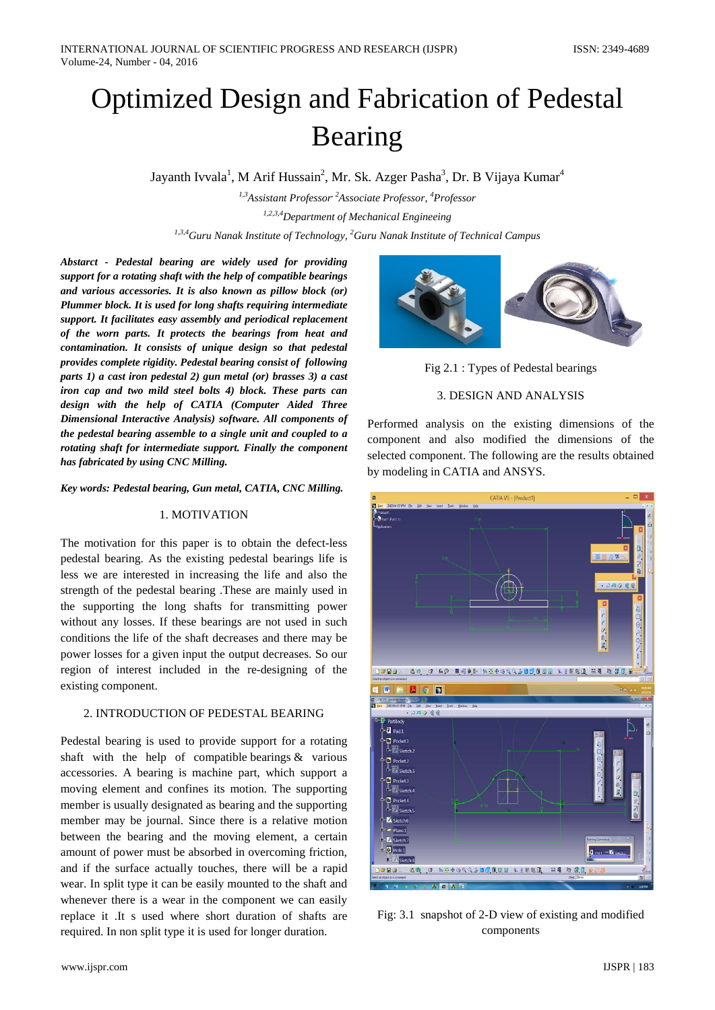# Optimized Design and Fabrication of Pedestal Bearing

Jayanth Ivvala<sup>1</sup>, M Arif Hussain<sup>2</sup>, Mr. Sk. Azger Pasha<sup>3</sup>, Dr. B Vijaya Kumar<sup>4</sup>

*1,3Assistant Professor, 2Associate Professor, 4 Professor 1,2,3,4Department of Mechanical Engineeing 1,3,4Guru Nanak Institute of Technology, 2 Guru Nanak Institute of Technical Campus*

*Abstarct - Pedestal bearing are widely used for providing support for a rotating shaft with the help of compatible bearings and various accessories. It is also known as pillow block (or) Plummer block. It is used for long shafts requiring intermediate support. It facilitates easy assembly and periodical replacement of the worn parts. It protects the bearings from heat and contamination. It consists of unique design so that pedestal provides complete rigidity. Pedestal bearing consist of following parts 1) a cast iron pedestal 2) gun metal (or) brasses 3) a cast iron cap and two mild steel bolts 4) block. These parts can design with the help of CATIA (Computer Aided Three Dimensional Interactive Analysis) software. All components of the pedestal bearing assemble to a single unit and coupled to a rotating shaft for intermediate support. Finally the component has fabricated by using CNC Milling.*

*Key words: Pedestal bearing, Gun metal, CATIA, CNC Milling.*

## 1. MOTIVATION

The motivation for this paper is to obtain the defect-less pedestal bearing. As the existing pedestal bearings life is less we are interested in increasing the life and also the strength of the pedestal bearing .These are mainly used in the supporting the long shafts for transmitting power without any losses. If these bearings are not used in such conditions the life of the shaft decreases and there may be power losses for a given input the output decreases. So our region of interest included in the re-designing of the existing component.

## 2. INTRODUCTION OF PEDESTAL BEARING

Pedestal bearing is used to provide support for a rotating shaft with the help of compatible bearings  $\&$  various accessories. A bearing is machine part, which support a moving element and confines its motion. The supporting member is usually designated as bearing and the supporting member may be journal. Since there is a relative motion between the bearing and the moving element, a certain amount of power must be absorbed in overcoming friction, and if the surface actually touches, there will be a rapid wear. In split type it can be easily mounted to the shaft and whenever there is a wear in the component we can easily replace it .It s used where short duration of shafts are required. In non split type it is used for longer duration.



Fig 2.1 : Types of Pedestal bearings

# 3. DESIGN AND ANALYSIS

Performed analysis on the existing dimensions of the component and also modified the dimensions of the selected component. The following are the results obtained by modeling in CATIA and ANSYS.



Fig: 3.1 snapshot of 2-D view of existing and modified components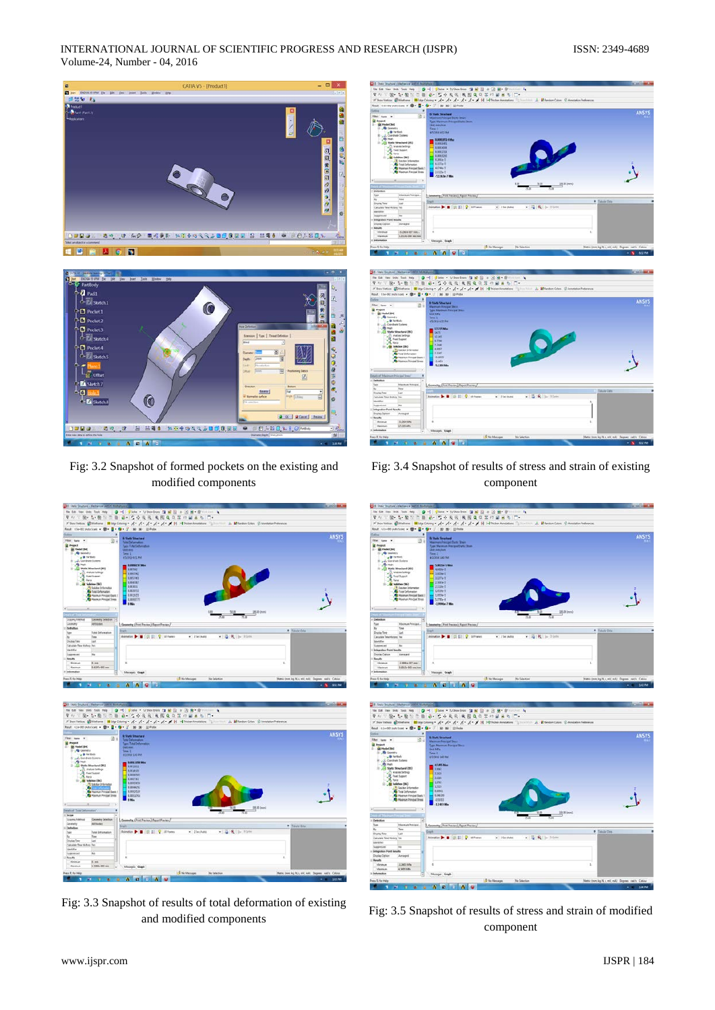INTERNATIONAL JOURNAL OF SCIENTIFIC PROGRESS AND RESEARCH (IJSPR) ISSN: 2349-4689 Volume-24, Number - 04, 2016



Fig: 3.2 Snapshot of formed pockets on the existing and modified components



Fig: 3.3 Snapshot of results of total deformation of existing and modified components





Fig: 3.4 Snapshot of results of stress and strain of existing component





Fig: 3.5 Snapshot of results of stress and strain of modified component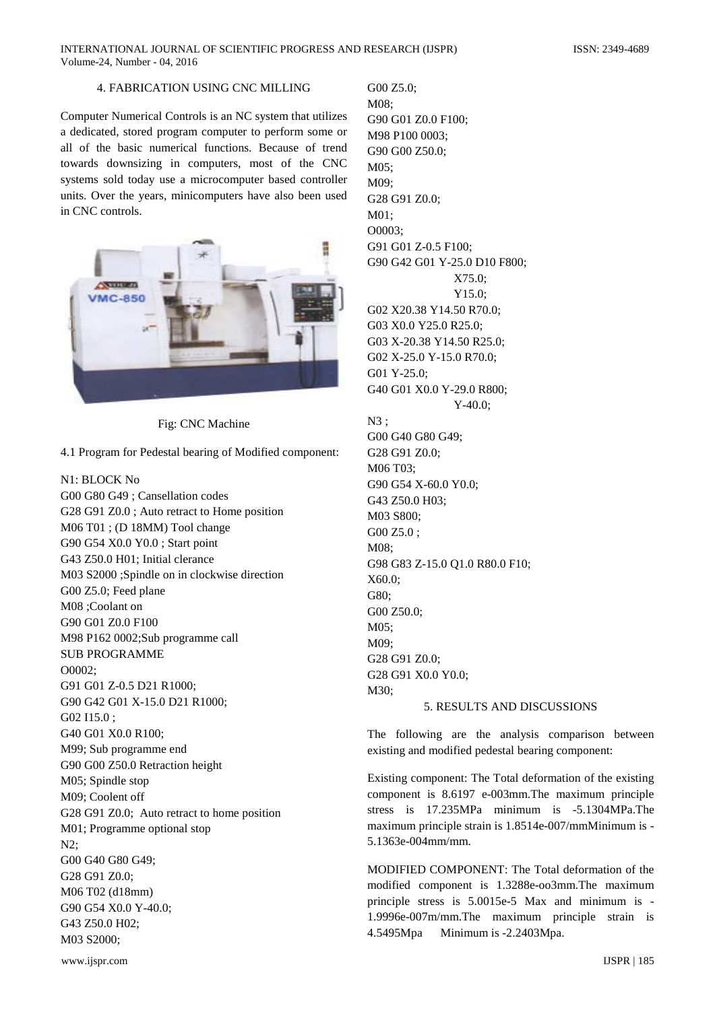INTERNATIONAL JOURNAL OF SCIENTIFIC PROGRESS AND RESEARCH (IJSPR) ISSN: 2349-4689 Volume-24, Number - 04, 2016

### 4. FABRICATION USING CNC MILLING

Computer Numerical Controls is an NC system that utilizes a dedicated, stored program computer to perform some or all of the basic numerical functions. Because of trend towards downsizing in computers, most of the CNC systems sold today use a microcomputer based controller units. Over the years, minicomputers have also been used in CNC controls.



Fig: CNC Machine

4.1 Program for Pedestal bearing of Modified component:

N1: BLOCK No G00 G80 G49 ; Cansellation codes G28 G91 Z0.0 ; Auto retract to Home position M06 T01 ; (D 18MM) Tool change G90 G54 X0.0 Y0.0 ; Start point G43 Z50.0 H01; Initial clerance M03 S2000 ;Spindle on in clockwise direction G00 Z5.0; Feed plane M08 ;Coolant on G90 G01 Z0.0 F100 M98 P162 0002;Sub programme call SUB PROGRAMME O0002; G91 G01 Z-0.5 D21 R1000; G90 G42 G01 X-15.0 D21 R1000; G02 I15.0 : G40 G01 X0.0 R100; M99; Sub programme end G90 G00 Z50.0 Retraction height M05; Spindle stop M09; Coolent off G28 G91 Z0.0; Auto retract to home position M01; Programme optional stop N2; G00 G40 G80 G49; G28 G91 Z0.0; M06 T02 (d18mm) G90 G54 X0.0 Y-40.0; G43 Z50.0 H02; M03 S2000;

G00 Z5.0; M08; G90 G01 Z0.0 F100; M98 P100 0003; G90 G00 Z50.0; M05; M09; G28 G91 Z0.0; M01; O0003; G91 G01 Z-0.5 F100; G90 G42 G01 Y-25.0 D10 F800; X75.0; Y15.0; G02 X20.38 Y14.50 R70.0; G03 X0.0 Y25.0 R25.0; G03 X-20.38 Y14.50 R25.0; G02 X-25.0 Y-15.0 R70.0; G01 Y-25.0; G40 G01 X0.0 Y-29.0 R800; Y-40.0; N3 ; G00 G40 G80 G49; G28 G91 Z0.0; M06 T03; G90 G54 X-60.0 Y0.0; G43 Z50.0 H03; M03 S800; G00 Z5.0 ; M08; G98 G83 Z-15.0 Q1.0 R80.0 F10; X60.0; G80; G00 Z50.0; M05;  $M()9'$ G28 G91 Z0.0; G28 G91 X0.0 Y0.0; M30; 5. RESULTS AND DISCUSSIONS

The following are the analysis comparison between existing and modified pedestal bearing component:

Existing component: The Total deformation of the existing component is 8.6197 e-003mm.The maximum principle stress is 17.235MPa minimum is -5.1304MPa.The maximum principle strain is 1.8514e-007/mmMinimum is - 5.1363e-004mm/mm.

MODIFIED COMPONENT: The Total deformation of the modified component is 1.3288e-oo3mm.The maximum principle stress is 5.0015e-5 Max and minimum is - 1.9996e-007m/mm.The maximum principle strain is 4.5495Mpa Minimum is -2.2403Mpa.